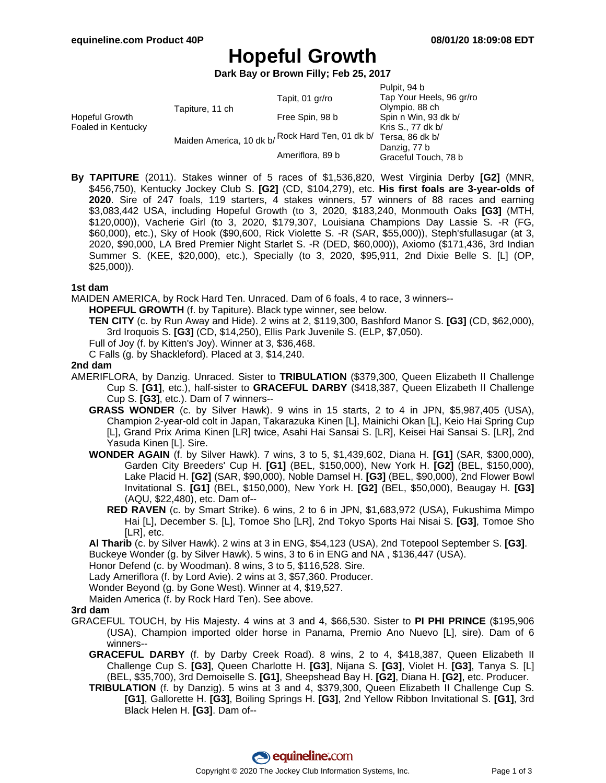# **Hopeful Growth**

**Dark Bay or Brown Filly; Feb 25, 2017**

| Tap Your Heels, 96 gr/ro                                                                                    |  |
|-------------------------------------------------------------------------------------------------------------|--|
|                                                                                                             |  |
| Olympio, 88 ch                                                                                              |  |
|                                                                                                             |  |
| Kris S., 77 dk b/                                                                                           |  |
| Maiden America, 10 dk b/ Rock Hard Ten, 01 dk b/<br>Tersa, 86 dk b/<br>Danzig, 77 b<br>Graceful Touch, 78 b |  |
|                                                                                                             |  |

**By TAPITURE** (2011). Stakes winner of 5 races of \$1,536,820, West Virginia Derby **[G2]** (MNR, \$456,750), Kentucky Jockey Club S. **[G2]** (CD, \$104,279), etc. **His first foals are 3-year-olds of 2020**. Sire of 247 foals, 119 starters, 4 stakes winners, 57 winners of 88 races and earning \$3,083,442 USA, including Hopeful Growth (to 3, 2020, \$183,240, Monmouth Oaks **[G3]** (MTH, \$120,000)), Vacherie Girl (to 3, 2020, \$179,307, Louisiana Champions Day Lassie S. -R (FG, \$60,000), etc.), Sky of Hook (\$90,600, Rick Violette S. -R (SAR, \$55,000)), Steph'sfullasugar (at 3, 2020, \$90,000, LA Bred Premier Night Starlet S. -R (DED, \$60,000)), Axiomo (\$171,436, 3rd Indian Summer S. (KEE, \$20,000), etc.), Specially (to 3, 2020, \$95,911, 2nd Dixie Belle S. [L] (OP, \$25,000)).

## **1st dam**

MAIDEN AMERICA, by Rock Hard Ten. Unraced. Dam of 6 foals, 4 to race, 3 winners--

**HOPEFUL GROWTH** (f. by Tapiture). Black type winner, see below.

**TEN CITY** (c. by Run Away and Hide). 2 wins at 2, \$119,300, Bashford Manor S. **[G3]** (CD, \$62,000), 3rd Iroquois S. **[G3]** (CD, \$14,250), Ellis Park Juvenile S. (ELP, \$7,050).

Full of Joy (f. by Kitten's Joy). Winner at 3, \$36,468.

C Falls (g. by Shackleford). Placed at 3, \$14,240.

## **2nd dam**

- AMERIFLORA, by Danzig. Unraced. Sister to **TRIBULATION** (\$379,300, Queen Elizabeth II Challenge Cup S. **[G1]**, etc.), half-sister to **GRACEFUL DARBY** (\$418,387, Queen Elizabeth II Challenge Cup S. **[G3]**, etc.). Dam of 7 winners--
	- **GRASS WONDER** (c. by Silver Hawk). 9 wins in 15 starts, 2 to 4 in JPN, \$5,987,405 (USA), Champion 2-year-old colt in Japan, Takarazuka Kinen [L], Mainichi Okan [L], Keio Hai Spring Cup [L], Grand Prix Arima Kinen [LR] twice, Asahi Hai Sansai S. [LR], Keisei Hai Sansai S. [LR], 2nd Yasuda Kinen [L]. Sire.
	- **WONDER AGAIN** (f. by Silver Hawk). 7 wins, 3 to 5, \$1,439,602, Diana H. **[G1]** (SAR, \$300,000), Garden City Breeders' Cup H. **[G1]** (BEL, \$150,000), New York H. **[G2]** (BEL, \$150,000), Lake Placid H. **[G2]** (SAR, \$90,000), Noble Damsel H. **[G3]** (BEL, \$90,000), 2nd Flower Bowl Invitational S. **[G1]** (BEL, \$150,000), New York H. **[G2]** (BEL, \$50,000), Beaugay H. **[G3]** (AQU, \$22,480), etc. Dam of--
		- **RED RAVEN** (c. by Smart Strike). 6 wins, 2 to 6 in JPN, \$1,683,972 (USA), Fukushima Mimpo Hai [L], December S. [L], Tomoe Sho [LR], 2nd Tokyo Sports Hai Nisai S. **[G3]**, Tomoe Sho [LR], etc.

**Al Tharib** (c. by Silver Hawk). 2 wins at 3 in ENG, \$54,123 (USA), 2nd Totepool September S. **[G3]**. Buckeye Wonder (g. by Silver Hawk). 5 wins, 3 to 6 in ENG and NA , \$136,447 (USA).

Honor Defend (c. by Woodman). 8 wins, 3 to 5, \$116,528. Sire.

Lady Ameriflora (f. by Lord Avie). 2 wins at 3, \$57,360. Producer.

Wonder Beyond (g. by Gone West). Winner at 4, \$19,527.

Maiden America (f. by Rock Hard Ten). See above.

### **3rd dam**

- GRACEFUL TOUCH, by His Majesty. 4 wins at 3 and 4, \$66,530. Sister to **PI PHI PRINCE** (\$195,906 (USA), Champion imported older horse in Panama, Premio Ano Nuevo [L], sire). Dam of 6 winners--
	- **GRACEFUL DARBY** (f. by Darby Creek Road). 8 wins, 2 to 4, \$418,387, Queen Elizabeth II Challenge Cup S. **[G3]**, Queen Charlotte H. **[G3]**, Nijana S. **[G3]**, Violet H. **[G3]**, Tanya S. [L] (BEL, \$35,700), 3rd Demoiselle S. **[G1]**, Sheepshead Bay H. **[G2]**, Diana H. **[G2]**, etc. Producer.
	- **TRIBULATION** (f. by Danzig). 5 wins at 3 and 4, \$379,300, Queen Elizabeth II Challenge Cup S. **[G1]**, Gallorette H. **[G3]**, Boiling Springs H. **[G3]**, 2nd Yellow Ribbon Invitational S. **[G1]**, 3rd Black Helen H. **[G3]**. Dam of--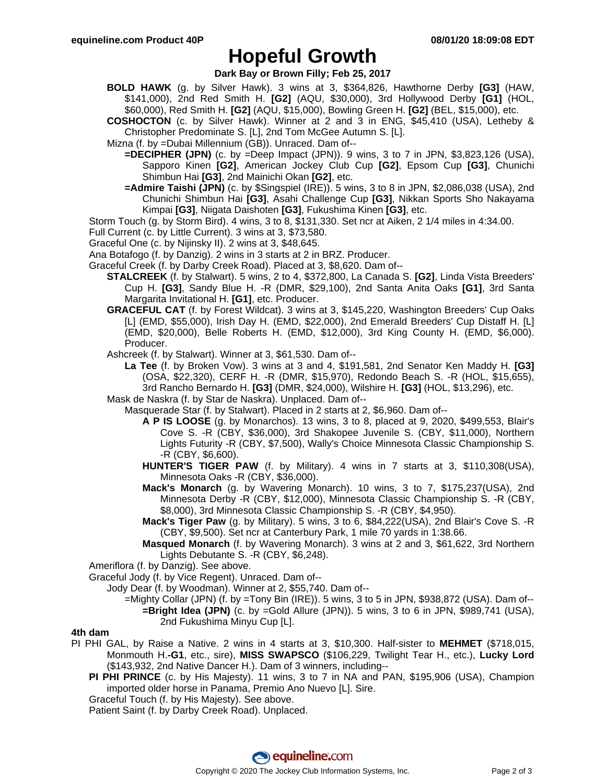# **Hopeful Growth**

## **Dark Bay or Brown Filly; Feb 25, 2017**

- **BOLD HAWK** (g. by Silver Hawk). 3 wins at 3, \$364,826, Hawthorne Derby **[G3]** (HAW, \$141,000), 2nd Red Smith H. **[G2]** (AQU, \$30,000), 3rd Hollywood Derby **[G1]** (HOL, \$60,000), Red Smith H. **[G2]** (AQU, \$15,000), Bowling Green H. **[G2]** (BEL, \$15,000), etc.
- **COSHOCTON** (c. by Silver Hawk). Winner at 2 and 3 in ENG, \$45,410 (USA), Letheby & Christopher Predominate S. [L], 2nd Tom McGee Autumn S. [L].
- Mizna (f. by =Dubai Millennium (GB)). Unraced. Dam of--
	- **=DECIPHER (JPN)** (c. by =Deep Impact (JPN)). 9 wins, 3 to 7 in JPN, \$3,823,126 (USA), Sapporo Kinen **[G2]**, American Jockey Club Cup **[G2]**, Epsom Cup **[G3]**, Chunichi Shimbun Hai **[G3]**, 2nd Mainichi Okan **[G2]**, etc.
	- **=Admire Taishi (JPN)** (c. by \$Singspiel (IRE)). 5 wins, 3 to 8 in JPN, \$2,086,038 (USA), 2nd Chunichi Shimbun Hai **[G3]**, Asahi Challenge Cup **[G3]**, Nikkan Sports Sho Nakayama Kimpai **[G3]**, Niigata Daishoten **[G3]**, Fukushima Kinen **[G3]**, etc.
- Storm Touch (g. by Storm Bird). 4 wins, 3 to 8, \$131,330. Set ncr at Aiken, 2 1/4 miles in 4:34.00.
- Full Current (c. by Little Current). 3 wins at 3, \$73,580.
- Graceful One (c. by Nijinsky II). 2 wins at 3, \$48,645.
- Ana Botafogo (f. by Danzig). 2 wins in 3 starts at 2 in BRZ. Producer.
- Graceful Creek (f. by Darby Creek Road). Placed at 3, \$8,620. Dam of--
	- **STALCREEK** (f. by Stalwart). 5 wins, 2 to 4, \$372,800, La Canada S. **[G2]**, Linda Vista Breeders' Cup H. **[G3]**, Sandy Blue H. -R (DMR, \$29,100), 2nd Santa Anita Oaks **[G1]**, 3rd Santa Margarita Invitational H. **[G1]**, etc. Producer.
	- **GRACEFUL CAT** (f. by Forest Wildcat). 3 wins at 3, \$145,220, Washington Breeders' Cup Oaks [L] (EMD, \$55,000), Irish Day H. (EMD, \$22,000), 2nd Emerald Breeders' Cup Distaff H. [L] (EMD, \$20,000), Belle Roberts H. (EMD, \$12,000), 3rd King County H. (EMD, \$6,000). Producer.
	- Ashcreek (f. by Stalwart). Winner at 3, \$61,530. Dam of--
		- **La Tee** (f. by Broken Vow). 3 wins at 3 and 4, \$191,581, 2nd Senator Ken Maddy H. **[G3]** (OSA, \$22,320), CERF H. -R (DMR, \$15,970), Redondo Beach S. -R (HOL, \$15,655), 3rd Rancho Bernardo H. **[G3]** (DMR, \$24,000), Wilshire H. **[G3]** (HOL, \$13,296), etc.
	- Mask de Naskra (f. by Star de Naskra). Unplaced. Dam of--
		- Masquerade Star (f. by Stalwart). Placed in 2 starts at 2, \$6,960. Dam of--
			- **A P IS LOOSE** (g. by Monarchos). 13 wins, 3 to 8, placed at 9, 2020, \$499,553, Blair's Cove S. -R (CBY, \$36,000), 3rd Shakopee Juvenile S. (CBY, \$11,000), Northern Lights Futurity -R (CBY, \$7,500), Wally's Choice Minnesota Classic Championship S. -R (CBY, \$6,600).
			- **HUNTER'S TIGER PAW** (f. by Military). 4 wins in 7 starts at 3, \$110,308(USA), Minnesota Oaks -R (CBY, \$36,000).
			- **Mack's Monarch** (g. by Wavering Monarch). 10 wins, 3 to 7, \$175,237(USA), 2nd Minnesota Derby -R (CBY, \$12,000), Minnesota Classic Championship S. -R (CBY, \$8,000), 3rd Minnesota Classic Championship S. -R (CBY, \$4,950).
			- **Mack's Tiger Paw** (g. by Military). 5 wins, 3 to 6, \$84,222(USA), 2nd Blair's Cove S. -R (CBY, \$9,500). Set ncr at Canterbury Park, 1 mile 70 yards in 1:38.66.
			- **Masqued Monarch** (f. by Wavering Monarch). 3 wins at 2 and 3, \$61,622, 3rd Northern Lights Debutante S. -R (CBY, \$6,248).
- Ameriflora (f. by Danzig). See above.
- Graceful Jody (f. by Vice Regent). Unraced. Dam of--
	- Jody Dear (f. by Woodman). Winner at 2, \$55,740. Dam of--
		- =Mighty Collar (JPN) (f. by =Tony Bin (IRE)). 5 wins, 3 to 5 in JPN, \$938,872 (USA). Dam of-- **=Bright Idea (JPN)** (c. by =Gold Allure (JPN)). 5 wins, 3 to 6 in JPN, \$989,741 (USA), 2nd Fukushima Minyu Cup [L].

### **4th dam**

- PI PHI GAL, by Raise a Native. 2 wins in 4 starts at 3, \$10,300. Half-sister to **MEHMET** (\$718,015, Monmouth H.**-G1**, etc., sire), **MISS SWAPSCO** (\$106,229, Twilight Tear H., etc.), **Lucky Lord** (\$143,932, 2nd Native Dancer H.). Dam of 3 winners, including--
	- **PI PHI PRINCE** (c. by His Majesty). 11 wins, 3 to 7 in NA and PAN, \$195,906 (USA), Champion imported older horse in Panama, Premio Ano Nuevo [L]. Sire.
	- Graceful Touch (f. by His Majesty). See above.
	- Patient Saint (f. by Darby Creek Road). Unplaced.